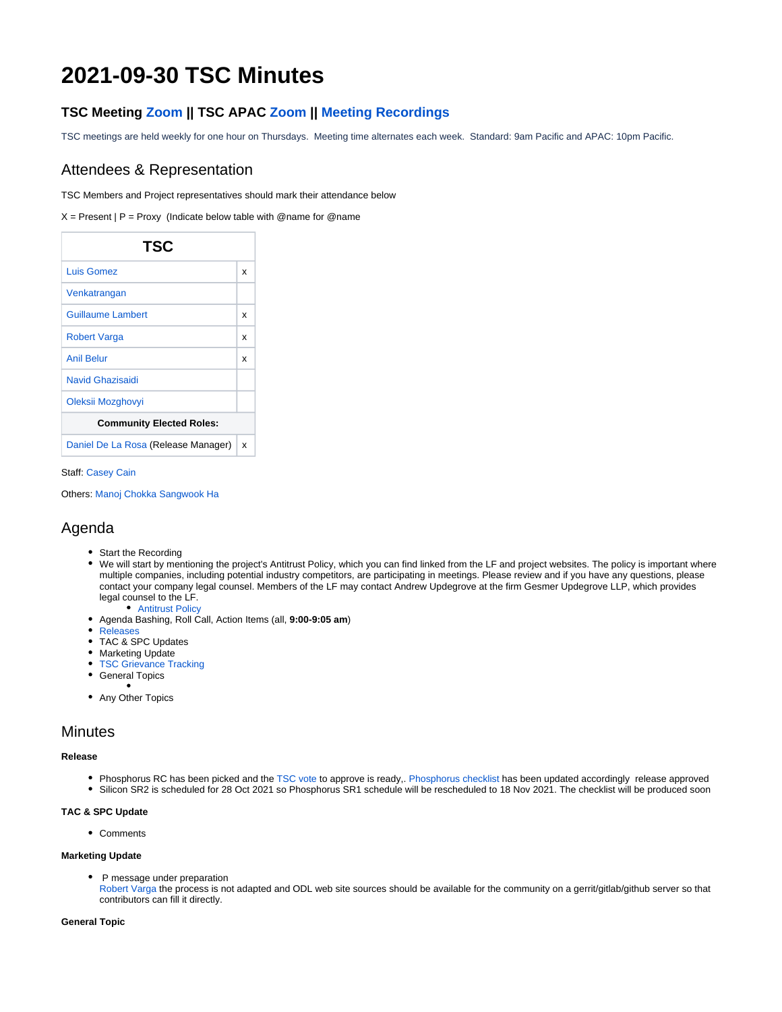# **2021-09-30 TSC Minutes**

## **TSC Meeting [Zoom](https://zoom.us/j/219174946?pwd=aW9uSXl0KzJpcjRXY3l1bWIwdG9KZz09) || TSC APAC [Zoom](https://zoom.us/j/657152618?pwd=cU9MR3daMkU5dnhaektTMkxXWEErUT09) || [Meeting Recordings](http://r.lfnetworking.org/?prefix=lfn-zoom/OpenDaylight/TSC/)**

TSC meetings are held weekly for one hour on Thursdays. Meeting time alternates each week. Standard: 9am Pacific and APAC: 10pm Pacific.

### Attendees & Representation

TSC Members and Project representatives should mark their attendance below

 $X =$  Present | P = Proxy (Indicate below table with @name for @name

| TSC                                 |   |
|-------------------------------------|---|
| Luis Gomez                          | x |
| Venkatrangan                        |   |
| <b>Guillaume Lambert</b>            | x |
| <b>Robert Varga</b>                 | x |
| <b>Anil Belur</b>                   | x |
| Navid Ghazisaidi                    |   |
| Oleksii Mozghovyi                   |   |
| <b>Community Elected Roles:</b>     |   |
| Daniel De La Rosa (Release Manager) | x |

#### Staff: [Casey Cain](https://wiki.opendaylight.org/display/~CaseyCain)

Others: [Manoj Chokka](https://wiki.opendaylight.org/display/~cmanoj) [Sangwook Ha](https://wiki.opendaylight.org/display/~sangwookha)

### Agenda

- Start the Recording
- We will start by mentioning the project's Antitrust Policy, which you can find linked from the LF and project websites. The policy is important where multiple companies, including potential industry competitors, are participating in meetings. Please review and if you have any questions, please contact your company legal counsel. Members of the LF may contact Andrew Updegrove at the firm Gesmer Updegrove LLP, which provides legal counsel to the LF.
	- [Antitrust Policy](https://r.lfnetworking.org/Antitrust%20Slide.pdf)
- Agenda Bashing, Roll Call, Action Items (all, **9:00-9:05 am**)
- [Releases](https://wiki.opendaylight.org/display/ODL/Release+Information)
- TAC & SPC Updates
- Marketing Update
- **[TSC Grievance Tracking](https://wiki.opendaylight.org/display/ODL/TSC+Grievance+Tracking)**
- **•** General Topics
- Any Other Topics

### **Minutes**

#### **Release**

- Phosphorus RC has been picked and the [TSC vote](https://wiki.opendaylight.org/display/ODL/Phosphorus+Formal+Release+Approval) to approve is ready,. [Phosphorus checklist](https://wiki.opendaylight.org/display/ODL/Phosphorus+Formal+Release+Checklist) has been updated accordingly release approved
- Silicon SR2 is scheduled for 28 Oct 2021 so Phosphorus SR1 schedule will be rescheduled to 18 Nov 2021. The checklist will be produced soon

#### **TAC & SPC Update**

Comments

#### **Marketing Update**

• P message under preparation

[Robert Varga](https://wiki.opendaylight.org/display/~rovarga) the process is not adapted and ODL web site sources should be available for the community on a gerrit/gitlab/github server so that contributors can fill it directly.

#### **General Topic**